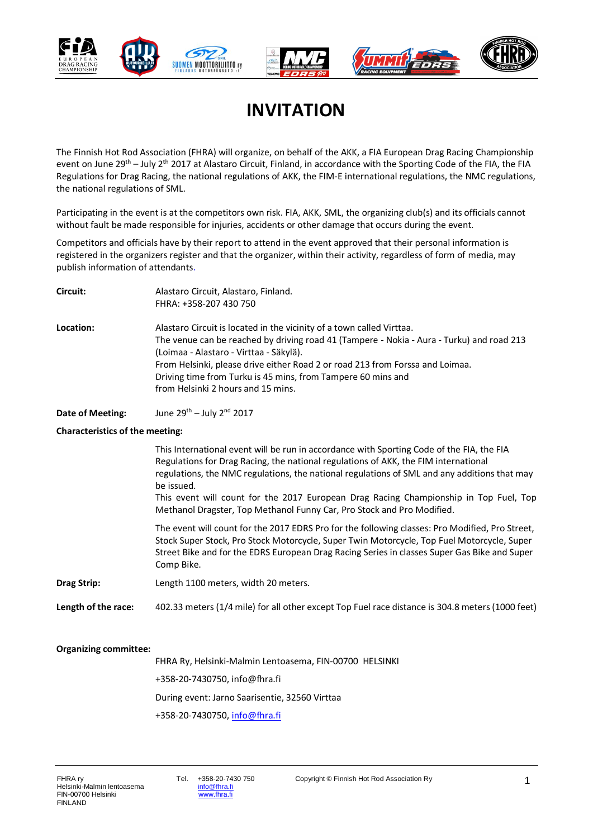

### **INVITATION**

The Finnish Hot Rod Association (FHRA) will organize, on behalf of the AKK, a FIA European Drag Racing Championship event on June 29<sup>th</sup> – July 2<sup>th</sup> 2017 at Alastaro Circuit, Finland, in accordance with the Sporting Code of the FIA, the FIA Regulations for Drag Racing, the national regulations of AKK, the FIM-E international regulations, the NMC regulations, the national regulations of SML.

Participating in the event is at the competitors own risk. FIA, AKK, SML, the organizing club(s) and its officials cannot without fault be made responsible for injuries, accidents or other damage that occurs during the event.

Competitors and officials have by their report to attend in the event approved that their personal information is registered in the organizers register and that the organizer, within their activity, regardless of form of media, may publish information of attendants.

| Circuit:  | Alastaro Circuit, Alastaro, Finland.<br>FHRA: +358-207 430 750                                                                                                                                                                                                                                                                                                                                       |
|-----------|------------------------------------------------------------------------------------------------------------------------------------------------------------------------------------------------------------------------------------------------------------------------------------------------------------------------------------------------------------------------------------------------------|
| Location: | Alastaro Circuit is located in the vicinity of a town called Virttaa.<br>The venue can be reached by driving road 41 (Tampere - Nokia - Aura - Turku) and road 213<br>(Loimaa - Alastaro - Virttaa - Säkylä).<br>From Helsinki, please drive either Road 2 or road 213 from Forssa and Loimaa.<br>Driving time from Turku is 45 mins, from Tampere 60 mins and<br>from Helsinki 2 hours and 15 mins. |
|           |                                                                                                                                                                                                                                                                                                                                                                                                      |

**Date of Meeting:** June 29<sup>th</sup> – July 2<sup>nd</sup> 2017

#### **Characteristics of the meeting:**

|                     | This International event will be run in accordance with Sporting Code of the FIA, the FIA<br>Regulations for Drag Racing, the national regulations of AKK, the FIM international<br>regulations, the NMC regulations, the national regulations of SML and any additions that may<br>be issued.<br>This event will count for the 2017 European Drag Racing Championship in Top Fuel, Top<br>Methanol Dragster, Top Methanol Funny Car, Pro Stock and Pro Modified. |
|---------------------|-------------------------------------------------------------------------------------------------------------------------------------------------------------------------------------------------------------------------------------------------------------------------------------------------------------------------------------------------------------------------------------------------------------------------------------------------------------------|
|                     | The event will count for the 2017 EDRS Pro for the following classes: Pro Modified, Pro Street,<br>Stock Super Stock, Pro Stock Motorcycle, Super Twin Motorcycle, Top Fuel Motorcycle, Super<br>Street Bike and for the EDRS European Drag Racing Series in classes Super Gas Bike and Super<br>Comp Bike.                                                                                                                                                       |
| <b>Drag Strip:</b>  | Length 1100 meters, width 20 meters.                                                                                                                                                                                                                                                                                                                                                                                                                              |
| Length of the race: | 402.33 meters (1/4 mile) for all other except Top Fuel race distance is 304.8 meters (1000 feet)                                                                                                                                                                                                                                                                                                                                                                  |

#### **Organizing committee:**

FHRA Ry, Helsinki-Malmin Lentoasema, FIN-00700 HELSINKI +358-20-7430750, info@fhra.fi During event: Jarno Saarisentie, 32560 Virttaa +358-20-7430750[, info@fhra.fi](mailto:info@fhra.fi)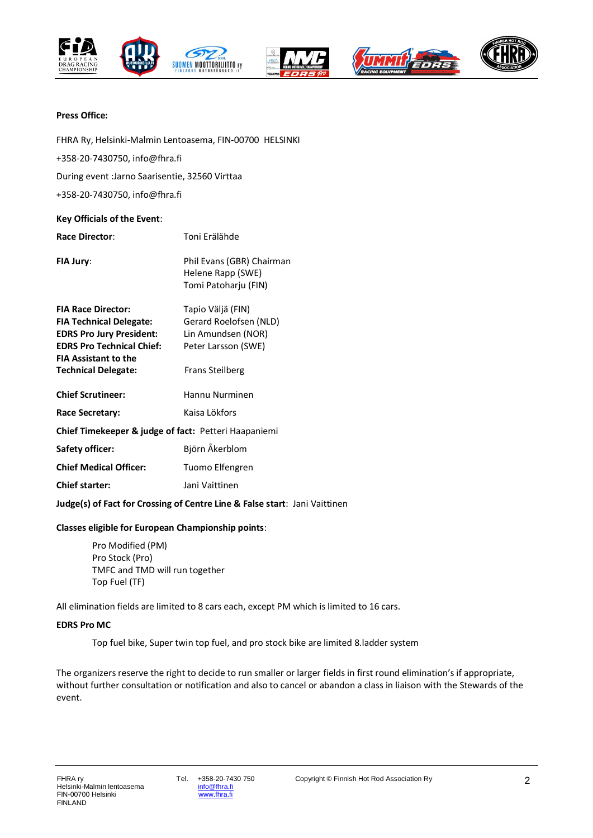









#### **Press Office:**

FHRA Ry, Helsinki-Malmin Lentoasema, FIN-00700 HELSINKI +358-20-7430750, info@fhra.fi During event :Jarno Saarisentie, 32560 Virttaa +358-20-7430750, info@fhra.fi

#### **Key Officials of the Event**:

| <b>Race Director:</b>                                | Toni Erälähde                                                          |  |
|------------------------------------------------------|------------------------------------------------------------------------|--|
| <b>FIA Jury:</b>                                     | Phil Evans (GBR) Chairman<br>Helene Rapp (SWE)<br>Tomi Patoharju (FIN) |  |
| <b>FIA Race Director:</b>                            | Tapio Väljä (FIN)                                                      |  |
| <b>FIA Technical Delegate:</b>                       | Gerard Roelofsen (NLD)                                                 |  |
| <b>EDRS Pro Jury President:</b>                      | Lin Amundsen (NOR)                                                     |  |
| <b>EDRS Pro Technical Chief:</b>                     | Peter Larsson (SWE)                                                    |  |
| <b>FIA Assistant to the</b>                          |                                                                        |  |
| <b>Technical Delegate:</b>                           | <b>Frans Steilberg</b>                                                 |  |
| <b>Chief Scrutineer:</b>                             | Hannu Nurminen                                                         |  |
| Race Secretary:                                      | Kaisa Lökfors                                                          |  |
| Chief Timekeeper & judge of fact: Petteri Haapaniemi |                                                                        |  |
| <b>Safety officer:</b>                               | Björn Åkerblom                                                         |  |
| <b>Chief Medical Officer:</b>                        | Tuomo Elfengren                                                        |  |
| <b>Chief starter:</b>                                | Jani Vaittinen                                                         |  |
|                                                      |                                                                        |  |

**Judge(s) of Fact for Crossing of Centre Line & False start**: Jani Vaittinen

#### **Classes eligible for European Championship points**:

Pro Modified (PM) Pro Stock (Pro) TMFC and TMD will run together Top Fuel (TF)

All elimination fields are limited to 8 cars each, except PM which is limited to 16 cars.

#### **EDRS Pro MC**

Top fuel bike, Super twin top fuel, and pro stock bike are limited 8.ladder system

The organizers reserve the right to decide to run smaller or larger fields in first round elimination's if appropriate, without further consultation or notification and also to cancel or abandon a class in liaison with the Stewards of the event.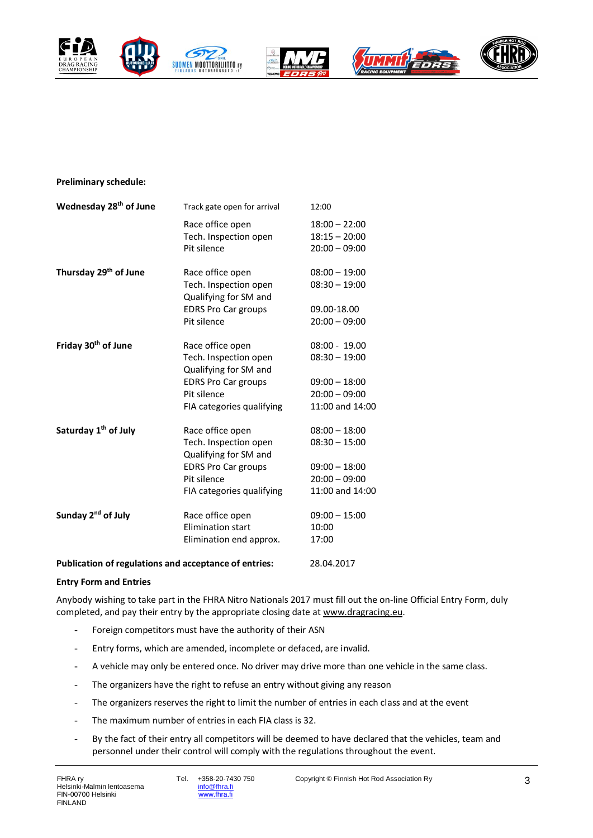









#### **Preliminary schedule:**

| Wednesday 28 <sup>th</sup> of June                    | Track gate open for arrival                                        | 12:00                                                 |
|-------------------------------------------------------|--------------------------------------------------------------------|-------------------------------------------------------|
|                                                       | Race office open<br>Tech. Inspection open<br>Pit silence           | $18:00 - 22:00$<br>$18:15 - 20:00$<br>$20:00 - 09:00$ |
| Thursday 29 <sup>th</sup> of June                     | Race office open<br>Tech. Inspection open<br>Qualifying for SM and | $08:00 - 19:00$<br>$08:30 - 19:00$                    |
|                                                       | <b>EDRS Pro Car groups</b><br>Pit silence                          | 09.00-18.00<br>$20:00 - 09:00$                        |
| Friday 30 <sup>th</sup> of June                       | Race office open                                                   | $08:00 - 19.00$                                       |
|                                                       | Tech. Inspection open<br>Qualifying for SM and                     | $08:30 - 19:00$                                       |
|                                                       | <b>EDRS Pro Car groups</b>                                         | $09:00 - 18:00$                                       |
|                                                       | Pit silence                                                        | $20:00 - 09:00$                                       |
|                                                       | FIA categories qualifying                                          | 11:00 and 14:00                                       |
| Saturday 1 <sup>th</sup> of July                      | Race office open                                                   | $08:00 - 18:00$                                       |
|                                                       | Tech. Inspection open<br>Qualifying for SM and                     | $08:30 - 15:00$                                       |
|                                                       | <b>EDRS Pro Car groups</b>                                         | $09:00 - 18:00$                                       |
|                                                       | Pit silence                                                        | $20:00 - 09:00$                                       |
|                                                       | FIA categories qualifying                                          | 11:00 and 14:00                                       |
| Sunday 2 <sup>nd</sup> of July                        | Race office open                                                   | $09:00 - 15:00$                                       |
|                                                       | <b>Elimination start</b>                                           | 10:00                                                 |
|                                                       | Elimination end approx.                                            | 17:00                                                 |
| Publication of regulations and acceptance of entries: |                                                                    | 28.04.2017                                            |

#### **Entry Form and Entries**

Anybody wishing to take part in the FHRA Nitro Nationals 2017 must fill out the on-line Official Entry Form, duly completed, and pay their entry by the appropriate closing date at www.dragracing.eu.

- Foreign competitors must have the authority of their ASN
- Entry forms, which are amended, incomplete or defaced, are invalid.
- A vehicle may only be entered once. No driver may drive more than one vehicle in the same class.
- The organizers have the right to refuse an entry without giving any reason
- The organizers reserves the right to limit the number of entries in each class and at the event
- The maximum number of entries in each FIA class is 32.
- By the fact of their entry all competitors will be deemed to have declared that the vehicles, team and personnel under their control will comply with the regulations throughout the event.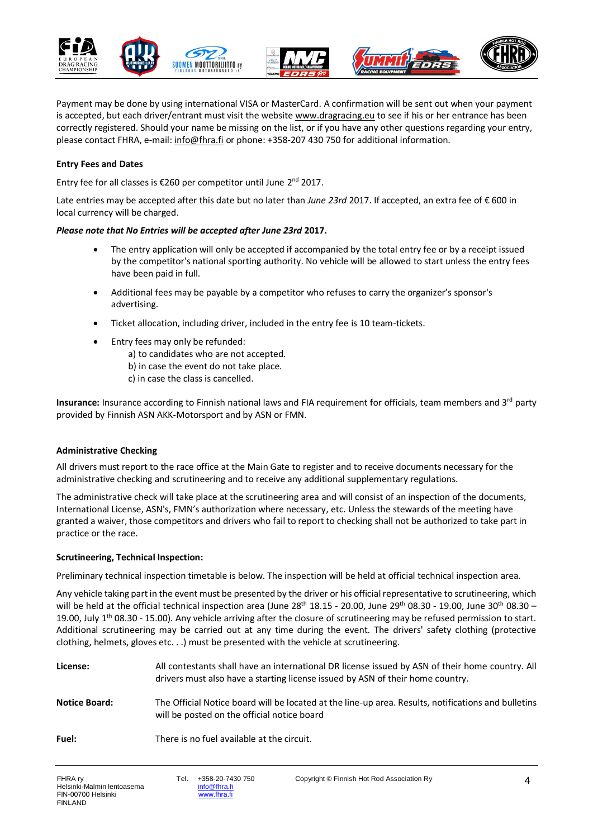

Payment may be done by using international VISA or MasterCard. A confirmation will be sent out when your payment is accepted, but each driver/entrant must visit the website www.dragracing.eu to see if his or her entrance has been correctly registered. Should your name be missing on the list, or if you have any other questions regarding your entry, please contact FHRA, e-mail: [info@fhra.fi](mailto:info@fhra.fi) or phone: +358-207 430 750 for additional information.

#### **Entry Fees and Dates**

Entry fee for all classes is €260 per competitor until June 2<sup>nd</sup> 2017.

Late entries may be accepted after this date but no later than *June 23rd* 2017. If accepted, an extra fee of € 600 in local currency will be charged.

#### *Please note that No Entries will be accepted after June 23rd* **2017.**

- The entry application will only be accepted if accompanied by the total entry fee or by a receipt issued by the competitor's national sporting authority. No vehicle will be allowed to start unless the entry fees have been paid in full.
- Additional fees may be payable by a competitor who refuses to carry the organizer's sponsor's advertising.
- Ticket allocation, including driver, included in the entry fee is 10 team-tickets.
- Entry fees may only be refunded:
	- a) to candidates who are not accepted.
	- b) in case the event do not take place.
	- c) in case the class is cancelled.

**Insurance:** Insurance according to Finnish national laws and FIA requirement for officials, team members and 3<sup>rd</sup> party provided by Finnish ASN AKK-Motorsport and by ASN or FMN.

#### **Administrative Checking**

All drivers must report to the race office at the Main Gate to register and to receive documents necessary for the administrative checking and scrutineering and to receive any additional supplementary regulations.

The administrative check will take place at the scrutineering area and will consist of an inspection of the documents, International License, ASN's, FMN's authorization where necessary, etc. Unless the stewards of the meeting have granted a waiver, those competitors and drivers who fail to report to checking shall not be authorized to take part in practice or the race.

#### **Scrutineering, Technical Inspection:**

Preliminary technical inspection timetable is below. The inspection will be held at official technical inspection area.

Any vehicle taking part in the event must be presented by the driver or his official representative to scrutineering, which will be held at the official technical inspection area (June  $28^{th}$  18.15 - 20.00, June  $29^{th}$  08.30 - 19.00, June  $30^{th}$  08.30 -19.00, July  $1<sup>th</sup>$  08.30 - 15.00). Any vehicle arriving after the closure of scrutineering may be refused permission to start. Additional scrutineering may be carried out at any time during the event. The drivers' safety clothing (protective clothing, helmets, gloves etc. . .) must be presented with the vehicle at scrutineering.

| License:             | All contestants shall have an international DR license issued by ASN of their home country. All<br>drivers must also have a starting license issued by ASN of their home country. |
|----------------------|-----------------------------------------------------------------------------------------------------------------------------------------------------------------------------------|
| <b>Notice Board:</b> | The Official Notice board will be located at the line-up area. Results, notifications and bulletins<br>will be posted on the official notice board                                |
| Fuel:                | There is no fuel available at the circuit.                                                                                                                                        |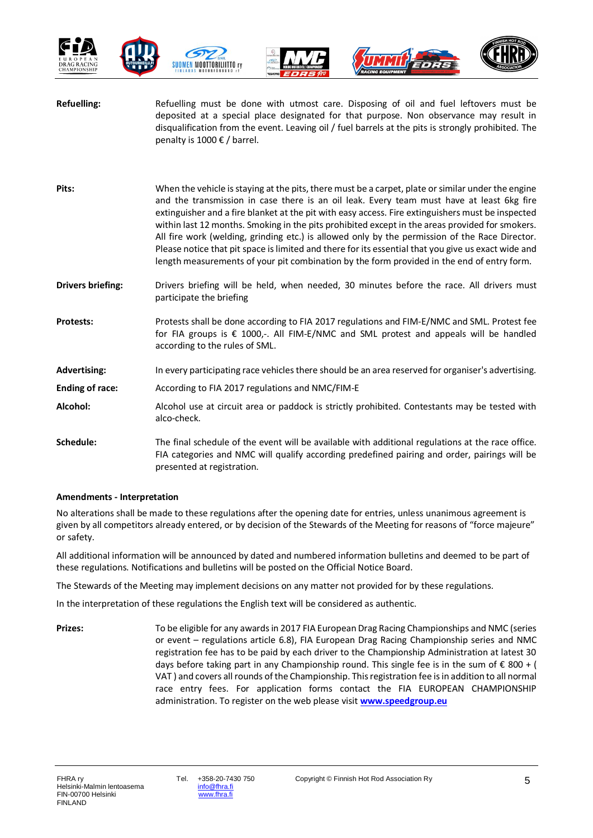







| <b>Refuelling:</b>       | Refuelling must be done with utmost care. Disposing of oil and fuel leftovers must be<br>deposited at a special place designated for that purpose. Non observance may result in<br>disqualification from the event. Leaving oil / fuel barrels at the pits is strongly prohibited. The<br>penalty is 1000 € / barrel.                                                                                                                                                                                                                                                                                                                                                                                          |
|--------------------------|----------------------------------------------------------------------------------------------------------------------------------------------------------------------------------------------------------------------------------------------------------------------------------------------------------------------------------------------------------------------------------------------------------------------------------------------------------------------------------------------------------------------------------------------------------------------------------------------------------------------------------------------------------------------------------------------------------------|
| Pits:                    | When the vehicle is staying at the pits, there must be a carpet, plate or similar under the engine<br>and the transmission in case there is an oil leak. Every team must have at least 6kg fire<br>extinguisher and a fire blanket at the pit with easy access. Fire extinguishers must be inspected<br>within last 12 months. Smoking in the pits prohibited except in the areas provided for smokers.<br>All fire work (welding, grinding etc.) is allowed only by the permission of the Race Director.<br>Please notice that pit space is limited and there for its essential that you give us exact wide and<br>length measurements of your pit combination by the form provided in the end of entry form. |
| <b>Drivers briefing:</b> | Drivers briefing will be held, when needed, 30 minutes before the race. All drivers must<br>participate the briefing                                                                                                                                                                                                                                                                                                                                                                                                                                                                                                                                                                                           |
| <b>Protests:</b>         | Protests shall be done according to FIA 2017 regulations and FIM-E/NMC and SML. Protest fee<br>for FIA groups is € 1000,-. All FIM-E/NMC and SML protest and appeals will be handled<br>according to the rules of SML.                                                                                                                                                                                                                                                                                                                                                                                                                                                                                         |
| <b>Advertising:</b>      | In every participating race vehicles there should be an area reserved for organiser's advertising.                                                                                                                                                                                                                                                                                                                                                                                                                                                                                                                                                                                                             |
| <b>Ending of race:</b>   | According to FIA 2017 regulations and NMC/FIM-E                                                                                                                                                                                                                                                                                                                                                                                                                                                                                                                                                                                                                                                                |
| Alcohol:                 | Alcohol use at circuit area or paddock is strictly prohibited. Contestants may be tested with<br>alco-check.                                                                                                                                                                                                                                                                                                                                                                                                                                                                                                                                                                                                   |
| Schedule:                | The final schedule of the event will be available with additional regulations at the race office.<br>FIA categories and NMC will qualify according predefined pairing and order, pairings will be<br>presented at registration.                                                                                                                                                                                                                                                                                                                                                                                                                                                                                |

#### **Amendments - Interpretation**

No alterations shall be made to these regulations after the opening date for entries, unless unanimous agreement is given by all competitors already entered, or by decision of the Stewards of the Meeting for reasons of "force majeure" or safety.

All additional information will be announced by dated and numbered information bulletins and deemed to be part of these regulations. Notifications and bulletins will be posted on the Official Notice Board.

The Stewards of the Meeting may implement decisions on any matter not provided for by these regulations.

In the interpretation of these regulations the English text will be considered as authentic.

**Prizes:** To be eligible for any awards in 2017 FIA European Drag Racing Championships and NMC (series or event – regulations article 6.8), FIA European Drag Racing Championship series and NMC registration fee has to be paid by each driver to the Championship Administration at latest 30 days before taking part in any Championship round. This single fee is in the sum of  $\epsilon$  800 + ( VAT ) and covers all rounds of the Championship. This registration fee is in addition to all normal race entry fees. For application forms contact the FIA EUROPEAN CHAMPIONSHIP administration. To register on the web please visit **[www.speedgroup.eu](http://www.speedgroup.eu/)**